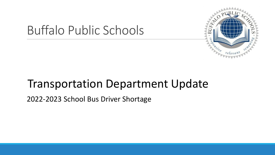

# Buffalo Public Schools

## Transportation Department Update

2022-2023 School Bus Driver Shortage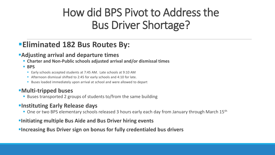## How did BPS Pivot to Address the Bus Driver Shortage?

## ▪**Eliminated 182 Bus Routes By:**

## ▪**Adjusting arrival and departure times**

- **Charter and Non-Public schools adjusted arrival and/or dismissal times**
- **BPS**
	- Early schools accepted students at 7:45 AM. Late schools at 9:10 AM
	- Afternoon dismissal shifted to 2:45 for early schools and 4:10 for late.
	- Buses loaded immediately upon arrival at school and were allowed to depart

## ▪**Multi-tripped buses**

■ Buses transported 2 groups of students to/from the same building

## **Elnstituting Early Release days**

■ One or two BPS elementary schools released 3 hours early each day from January through March 15<sup>th</sup>

### **EXITED FINITE IN THE PUT THE PITT FINITE EVENTS**

### **Example 2 Increasing Bus Driver sign on bonus for fully credentialed bus drivers**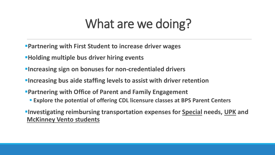# What are we doing?

- ▪**Partnering with First Student to increase driver wages**
- **EXAMPLE EXAMPLE FIGHTS EXAMPLE THE EXAMPLE FEEDER**
- **Example 2 Finders in property in the Finder State in Finder State Increasing sign on bonuses for non-credentialed drivers**
- *<u>Elncreasing bus aide staffing levels to assist with driver retention*</u>
- **Partnering with Office of Parent and Family Engagement** 
	- **Explore the potential of offering CDL licensure classes at BPS Parent Centers**
- ▪**Investigating reimbursing transportation expenses for Special needs, UPK and McKinney Vento students**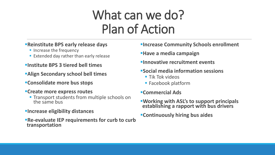# What can we do? Plan of Action

### **Example 3 PS early release days**

- **· Increase the frequency**
- Extended day rather than early release
- ▪**Institute BPS 3 tiered bell times**
- **Example 1 Secondary school bell times**
- ▪**Consolidate more bus stops**
- ▪**Create more express routes**
	- **Transport students from multiple schools on** the same bus
- **Encrease eligibility distances**
- **Re-evaluate IEP requirements for curb to curb transportation**

## *Elncrease Community Schools enrollment*

- **Example 3 Have a media campaign**
- *Elnnovative recruitment events*
- ▪**Social media information sessions**
	- $\blacksquare$  Tik Tok videos
	- Facebook platform
- ▪**Commercial Ads**
- ▪**Working with ASL's to support principals establishing a rapport with bus drivers**
- ▪**Continuously hiring bus aides**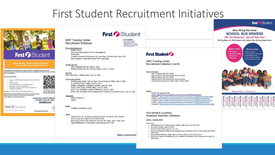## First Student Recruitment Initiatives



## **First Condent**

**Now Hiring "School Bus Drivers "** Multiple locations hiring in Western New York

At First Student, our Bus Drivers are an integral part of the communities they serve. They are committed to safety, customer service and have genuine, caring attitudes for children. We are your friend family, and neighbors!

#### We are proud to offer

- · \$19.55 \$25.04/HR Starting Wage (based on experience; effective
- · Paid CDL Training . \$3,000 Sign-On Bonus for fully credentialed crivers\*
- . \$500 Sign-On Bonus for non CDL holders\*
- · Additional hours available-extra charter route opportunities · No evenings or weekends

\*Conditions Apply, See Location for Details. Offer expires 11/1/21

Requirements of a School Bus Driver: Good verbal communication skills,<br>At least 21 years old, Valid driver's license for at least 3 years, and be subject to a drug screen & physical.

Questions? Call #716-685-98 TO APPLY ONLINE VISIT: Workatfirst.com

**School Bus Drivers** 

Use your phone camera<br>to access the direct link

First Constructent Caring for students today, tomorrow, together."

**First Condent** 

**WNY Training Center Recruitment Initiatives** 

WNY Regional Job Fair, May 6, 2021

St. Anthony Church BBQ, June 6, 2021

WNY Get Hired - Galleria Mall, July 14, 2021

Bee Group Newspapers (ALL 9 Newspapers)

Gay & Lesbian Youth Services of WNY (pending)

Buffalo Employment & Training Center, June 1-4, 2021

Buffalo Collegiate Juneteenth Jubilee, June 18, 2021

BETC, City of Buffalo Health & Wellness, July 21, 2021

Family Help Center Buffalo BBQ, June 23/2021

Christian Directory Publication 30+ churches. October 2021-July 2022

Cheektowaga Police "Do the Right Thing Program" BBQ, June 5, 2021

BETC, City of Buffalo Police Department C-District Community Days, Aug 14, 2021

Print Advertisements

Virtual Job Fair

**Community Events** 

WIVB, Channel 4

Christian Directories / 96.5

**WNLO** 

Job Fair

Television

Radio

**Buffalo News** 

Challenger

#### **First Student**<br>WNY Training Center 2306 Walden Avenue Cheektowaga, NY 14225 Telephone: (716) 685-9864 Fax: (716) 683-4371

#### **First Student Fra**

**WNY Training Center** Recruitment Initiatives (con't)

#### **Bonus Programs**

Sign On Bonus Non CDL \$500 Sign On Bonus CDL/School Bus Driver \$3,000 Referral Bonus Non CDL \$500 Referral Bonus CDL/School Bus Driver \$2,000 Trainer Referral Bonus \$1,000 / New Trainer \$500

#### Online

Career site (general link): https://apply.firstgroupcareers.com/vacancy/33809/description Facebook: https://apply.firstgroupcareers.com/vacancy/33809/Facebook/detail Indeed: https://apply.firstgroupcareers.com/vacancy/33809/Indeed/detail LinkedIn: https://apply.firstgroupcareers.com/vacancy/33809/LinkedIn/detail Twitter: https://apply.firstgroupcareers.com/vacancy/33809/Twitter/detail Instagram: https://apply.firstgroupcareers.com/vacancy/33809/Instagram/detail

#### **First Student Locations Employee Retention Initiatives**

#### 20603 - Walden SPED

June 2021:

- Attendance/Lend a helping hand weekly raffle, May-June 25, 2021
- · Ice Cream Social, June 23/2021
- · First Connect Posts, June 10, 17, 24
- We are constantly updating and engaging our employees with our dry erase and Chalk board wall
- Recruitment/Retention Sped team will be in place by the end of June
- Get Forms Signed on Bidding day for updated information and if they plan to return in September.

#### **First & Student**

#### **Now Hiring Part-time SCHOOL BUS DRIVERS**

**CDL Not Required ... We will Train You!** 

We Pay More for CDL Holders with School Bus Driving Experience!



#### Other

Transit Drive In, On Screen Advertising (ALL Screens), 2021 Season Now Hiring Lawn Signs in All Communities Now Hiring Post Cards Mailed to Various Zip Codes, April - May 2021 Digital Billboards on Kensington Expressway and I-190

#### A First Group America Con

**Equal Opportunity Employer**